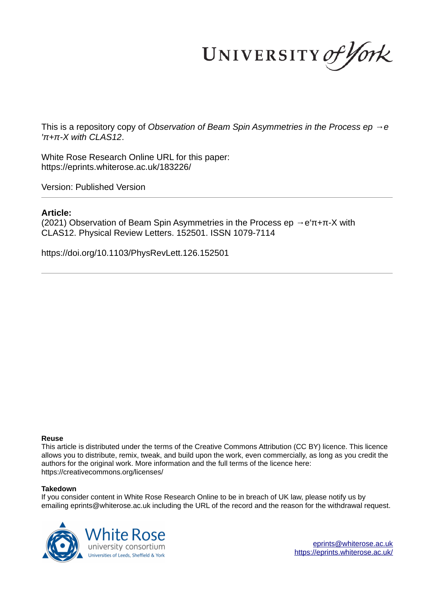UNIVERSITY of York

This is a repository copy of *Observation of Beam Spin Asymmetries in the Process ep →e ′π+π-X with CLAS12*.

White Rose Research Online URL for this paper: https://eprints.whiterose.ac.uk/183226/

Version: Published Version

## **Article:**

(2021) Observation of Beam Spin Asymmetries in the Process ep  $\rightarrow$  e'π+π-X with CLAS12. Physical Review Letters. 152501. ISSN 1079-7114

https://doi.org/10.1103/PhysRevLett.126.152501

#### **Reuse**

This article is distributed under the terms of the Creative Commons Attribution (CC BY) licence. This licence allows you to distribute, remix, tweak, and build upon the work, even commercially, as long as you credit the authors for the original work. More information and the full terms of the licence here: https://creativecommons.org/licenses/

#### **Takedown**

If you consider content in White Rose Research Online to be in breach of UK law, please notify us by emailing eprints@whiterose.ac.uk including the URL of the record and the reason for the withdrawal request.



eprints@whiterose.ac.uk https://eprints.whiterose.ac.uk/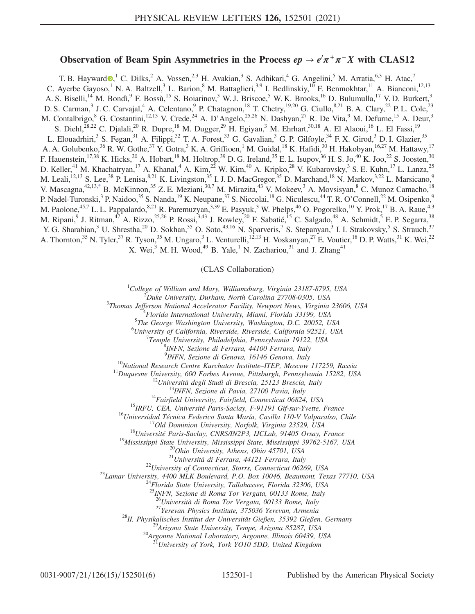# Observation of Beam Spin Asymmetries in the Process  $ep \rightarrow e^{\prime}\pi^{+}\pi^{-}X$  with CLAS12

T. B. Hayward  $\Phi$ , C. Dilks, A. Vossen, A. H. Avakian, S. Adhikari, <sup>4</sup> G. Angelini, <sup>5</sup> M. Arratia, <sup>6,3</sup> H. Atac, <sup>7</sup> C. Ayerbe Gayoso,<sup>1</sup> N. A. Baltzell,<sup>3</sup> L. Barion,<sup>8</sup> M. Battaglieri,<sup>3,9</sup> I. Bedlinskiy,<sup>10</sup> F. Benmokhtar,<sup>11</sup> A. Bianconi,<sup>12,13</sup> A. S. Biselli,<sup>14</sup> M. Bondì,<sup>9</sup> F. Bossù,<sup>15</sup> S. Boiarinov,<sup>3</sup> W. J. Briscoe,<sup>5</sup> W. K. Brooks,<sup>16</sup> D. Bulumulla,<sup>17</sup> V. D. Burkert,<sup>3</sup> D. S. Carman,<sup>3</sup> J. C. Carvajal,<sup>4</sup> A. Celentano,<sup>9</sup> P. Chatagnon,<sup>18</sup> T. Chetry,<sup>19,20</sup> G. Ciullo,<sup>8,21</sup> B. A. Clary,<sup>22</sup> P. L. Cole,<sup>23</sup> M. Contalbrigo, <sup>8</sup> G. Costantini, <sup>12,13</sup> V. Crede, <sup>24</sup> A. D'Angelo, <sup>25,26</sup> N. Dashyan, <sup>27</sup> R. De Vita, <sup>9</sup> M. Defurne, <sup>15</sup> A. Deur, <sup>3</sup> S. Diehl,  $28,22$  C. Djalali,  $20$  R. Dupre,  $18$  M. Dugger,  $29$  H. Egiyan,  $3$  M. Ehrhart,  $30,18$  A. El Alaoui,  $16$  L. El Fassi,  $19$ L. Elouadrhiri,<sup>3</sup> S. Fegan,<sup>31</sup> A. Filippi,<sup>32</sup> T. A. Forest,<sup>33</sup> G. Gavalian,<sup>3</sup> G. P. Gilfoyle,<sup>34</sup> F. X. Girod,<sup>3</sup> D. I. Glazier,<sup>35</sup> A. A. Golubenko,<sup>36</sup> R. W. Gothe,<sup>37</sup> Y. Gotra,<sup>3</sup> K. A. Griffioen,<sup>1</sup> M. Guidal,<sup>18</sup> K. Hafidi,<sup>30</sup> H. Hakobyan,<sup>16,27</sup> M. Hattawy,<sup>17</sup> F. Hauenstein,<sup>17,38</sup> K. Hicks,<sup>20</sup> A. Hobart,<sup>18</sup> M. Holtrop,<sup>39</sup> D. G. Ireland,<sup>35</sup> E. L. Isupov,<sup>36</sup> H. S. Jo,<sup>40</sup> K. Joo,<sup>22</sup> S. Joosten,<sup>30</sup> D. Keller,<sup>41</sup> M. Khachatryan,<sup>17</sup> A. Khanal,<sup>4</sup> A. Kim,<sup>22</sup> W. Kim,<sup>40</sup> A. Kripko,<sup>28</sup> V. Kubarovsky,<sup>3</sup> S. E. Kuhn,<sup>17</sup> L. Lanza,<sup>25</sup> M. Leali,<sup>12,13</sup> S. Lee,<sup>38</sup> P. Lenisa,<sup>8,21</sup> K. Livingston,<sup>35</sup> I. J. D. MacGregor,<sup>35</sup> D. Marchand,<sup>18</sup> N. Markov,<sup>3,22</sup> L. Marsicano,<sup>9</sup> V. Mascagna,<sup>42,13,\*</sup> B. McKinnon,<sup>35</sup> Z. E. Meziani,<sup>30,7</sup> M. Mirazita,<sup>43</sup> V. Mokeev,<sup>3</sup> A. Movsisyan,<sup>8</sup> C. Munoz Camacho,<sup>18</sup> P. Nadel-Turonski,<sup>3</sup> P. Naidoo,<sup>35</sup> S. Nanda,<sup>19</sup> K. Neupane,<sup>37</sup> S. Niccolai,<sup>18</sup> G. Niculescu,<sup>44</sup> T. R. O'Connell,<sup>22</sup> M. Osipenko,<sup>9</sup> M. Paolone,<sup>45,7</sup> L. L. Pappalardo,<sup>8,21</sup> R. Paremuzyan,<sup>3,39</sup> E. Pasyuk,<sup>3</sup> W. Phelps,<sup>46</sup> O. Pogorelko,<sup>10</sup> Y. Prok,<sup>17</sup> B. A. Raue,<sup>4,3</sup> M. Ripani,<sup>9</sup> J. Ritman,<sup>47</sup> A. Rizzo,<sup>25,26</sup> P. Rossi,<sup>3,43</sup> J. Rowley,<sup>20</sup> F. Sabatié,<sup>15</sup> C. Salgado,<sup>48</sup> A. Schmidt,<sup>5</sup> E. P. Segarra,<sup>38</sup> Y. G. Sharabian,<sup>3</sup> U. Shrestha,<sup>20</sup> D. Sokhan,<sup>35</sup> O. Soto,<sup>43,16</sup> N. Sparveris,<sup>7</sup> S. Stepanyan,<sup>3</sup> I. I. Strakovsky,<sup>5</sup> S. Strauch,<sup>37</sup> A. Thornton,<sup>35</sup> N. Tyler,<sup>37</sup> R. Tyson,<sup>35</sup> M. Ungaro,<sup>3</sup> L. Venturelli,<sup>12,13</sup> H. Voskanyan,<sup>27</sup> E. Voutier,<sup>18</sup> D. P. Watts,<sup>31</sup> K. Wei,<sup>22</sup> X. Wei,<sup>3</sup> M. H. Wood,<sup>49</sup> B. Yale,<sup>1</sup> N. Zachariou,<sup>31</sup> and J. Zhang<sup>41</sup>

(CLAS Collaboration)

 $1$ College of William and Mary, Williamsburg, Virginia 23187-8795, USA

 $2^2$ Duke University, Durham, North Carolina 27708-0305, USA

<sup>3</sup>Thomas Jefferson National Accelerator Facility, Newport News, Virginia 23606, USA

<sup>4</sup>Florida International University, Miami, Florida 33199, USA

<sup>5</sup>The George Washington University, Washington, D.C. 20052, USA

 $^6$ University of California, Riverside, Riverside, California 92521, USA

<sup>7</sup>Temple University, Philadelphia, Pennsylvania 19122, USA

8 INFN, Sezione di Ferrara, 44100 Ferrara, Italy

9 INFN, Sezione di Genova, 16146 Genova, Italy

<sup>10</sup>National Research Centre Kurchatov Institute–ITEP, Moscow 117259, Russia

 $11$ Duquesne University, 600 Forbes Avenue, Pittsburgh, Pennsylvania 15282, USA

 $^{12}$ Università degli Studi di Brescia, 25123 Brescia, Italy

<sup>13</sup>INFN, Sezione di Pavia, 27100 Pavia, Italy

 $14$ Fairfield University, Fairfield, Connecticut 06824, USA

<sup>15</sup>IRFU, CEA, Université Paris-Saclay, F-91191 Gif-sur-Yvette, France

<sup>16</sup>Universidad Técnica Federico Santa María, Casilla 110-V Valparaíso, Chile

 $17$ Old Dominion University, Norfolk, Virginia 23529, USA

 $18$ Université Paris-Saclay, CNRS/IN2P3, IJCLab, 91405 Orsay, France

<sup>19</sup>Mississippi State University, Mississippi State, Mississippi 39762-5167, USA

<sup>20</sup>Ohio University, Athens, Ohio 45701, USA

 $^{21}$ Università di Ferrara, 44121 Ferrara, Italy

 $^{22}$ University of Connecticut, Storrs, Connecticut 06269, USA

 $^{23}$ Lamar University, 4400 MLK Boulevard, P.O. Box 10046, Beaumont, Texas 77710, USA

<sup>24</sup>Florida State University, Tallahassee, Florida 32306, USA

<sup>25</sup>INFN, Sezione di Roma Tor Vergata, 00133 Rome, Italy

 $^{26}$ Università di Roma Tor Vergata, 00133 Rome, Italy

 $27$ Yerevan Physics Institute, 375036 Yerevan, Armenia

 $^{28}$ II. Physikalisches Institut der Universität Gießen, 35392 Gießen, Germany

<sup>29</sup>Arizona State University, Tempe, Arizona 85287, USA

 $30$ Argonne National Laboratory, Argonne, Illinois 60439, USA

 $^{31}$ University of York, York YO10 5DD, United Kingdom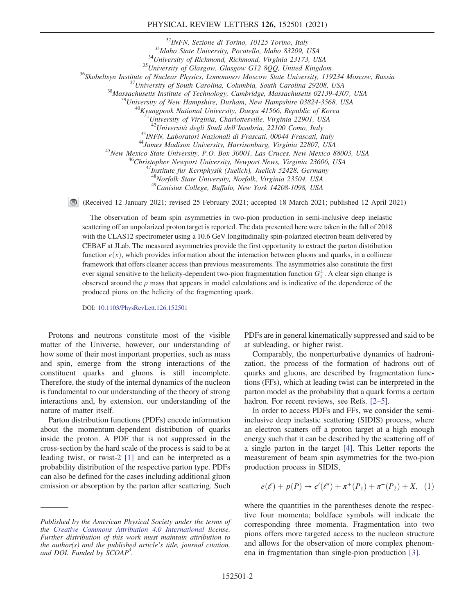### PHYSICAL REVIEW LETTERS 126, 152501 (2021)

<sup>32</sup>INFN, Sezione di Torino, 10125 Torino, Italy 33Idaho State University, Pocatello, Idaho 83209, USA <sup>34</sup>University of Richmond, Richmond, Virginia 23173, USA  $35$ University of Glasgow, Glasgow G12 8QQ, United Kingdom <sup>36</sup>Skobeltsyn Institute of Nuclear Physics, Lomonosov Moscow State University, 119234 Moscow, Russia  $37$ University of South Carolina, Columbia, South Carolina 29208, USA <sup>38</sup>Massachusetts Institute of Technology, Cambridge, Massachusetts 02139-4307, USA  $^{39}$ University of New Hampshire, Durham, New Hampshire 03824-3568, USA  $^{40}$ Kyungpook National University, Daegu 41566, Republic of Korea <sup>41</sup>University of Virginia, Charlottesville, Virginia 22901, USA  $^{42}$ Università degli Studi dell'Insubria, 22100 Como, Italy <sup>43</sup>INFN, Laboratori Nazionali di Frascati, 00044 Frascati, Italy <sup>44</sup>James Madison University, Harrisonburg, Virginia 22807, USA <sup>45</sup>New Mexico State University, P.O. Box 30001, Las Cruces, New Mexico 88003, USA <sup>46</sup>Christopher Newport University, Newport News, Virginia 23606, USA  $^{7}$ Institute fur Kernphysik (Juelich), Juelich 52428, Germany <sup>48</sup>Norfolk State University, Norfolk, Virginia 23504, USA

<sup>49</sup>Canisius College, Buffalo, New York 14208-1098, USA

(Received 12 January 2021; revised 25 February 2021; accepted 18 March 2021; published 12 April 2021)

The observation of beam spin asymmetries in two-pion production in semi-inclusive deep inelastic scattering off an unpolarized proton target is reported. The data presented here were taken in the fall of 2018 with the CLAS12 spectrometer using a 10.6 GeV longitudinally spin-polarized electron beam delivered by CEBAF at JLab. The measured asymmetries provide the first opportunity to extract the parton distribution function  $e(x)$ , which provides information about the interaction between gluons and quarks, in a collinear framework that offers cleaner access than previous measurements. The asymmetries also constitute the first ever signal sensitive to the helicity-dependent two-pion fragmentation function  $G_1^{\perp}$ . A clear sign change is observed around the  $\rho$  mass that appears in model calculations and is indicative of the dependence of the produced pions on the helicity of the fragmenting quark.

DOI: 10.1103/PhysRevLett.126.152501

Protons and neutrons constitute most of the visible matter of the Universe, however, our understanding of how some of their most important properties, such as mass and spin, emerge from the strong interactions of the constituent quarks and gluons is still incomplete. Therefore, the study of the internal dynamics of the nucleon is fundamental to our understanding of the theory of strong interactions and, by extension, our understanding of the nature of matter itself.

Parton distribution functions (PDFs) encode information about the momentum-dependent distribution of quarks inside the proton. A PDF that is not suppressed in the cross-section by the hard scale of the process is said to be at leading twist, or twist-2 [1] and can be interpreted as a probability distribution of the respective parton type. PDFs can also be defined for the cases including additional gluon emission or absorption by the parton after scattering. Such PDFs are in general kinematically suppressed and said to be at subleading, or higher twist.

Comparably, the nonperturbative dynamics of hadronization, the process of the formation of hadrons out of quarks and gluons, are described by fragmentation functions (FFs), which at leading twist can be interpreted in the parton model as the probability that a quark forms a certain hadron. For recent reviews, see Refs. [2–5].

In order to access PDFs and FFs, we consider the semiinclusive deep inelastic scattering (SIDIS) process, where an electron scatters off a proton target at a high enough energy such that it can be described by the scattering off of a single parton in the target [4]. This Letter reports the measurement of beam spin asymmetries for the two-pion production process in SIDIS,

$$
e(\ell) + p(P) \to e'(\ell') + \pi^+(P_1) + \pi^-(P_2) + X, (1)
$$

where the quantities in the parentheses denote the respective four momenta; boldface symbols will indicate the corresponding three momenta. Fragmentation into two pions offers more targeted access to the nucleon structure and allows for the observation of more complex phenomena in fragmentation than single-pion production [3].

Published by the American Physical Society under the terms of the Creative Commons Attribution 4.0 International license. Further distribution of this work must maintain attribution to the author(s) and the published article's title, journal citation, and DOI. Funded by SCOAP<sup>3</sup>.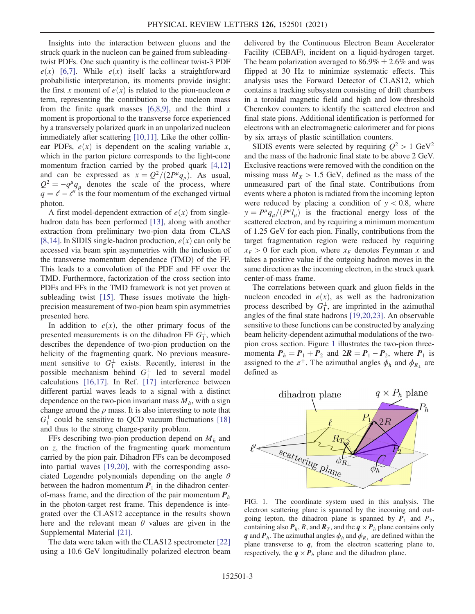Insights into the interaction between gluons and the struck quark in the nucleon can be gained from subleadingtwist PDFs. One such quantity is the collinear twist-3 PDF  $e(x)$  [6,7]. While  $e(x)$  itself lacks a straightforward probabilistic interpretation, its moments provide insight: the first x moment of  $e(x)$  is related to the pion-nucleon  $\sigma$ term, representing the contribution to the nucleon mass from the finite quark masses  $[6,8,9]$ , and the third x moment is proportional to the transverse force experienced by a transversely polarized quark in an unpolarized nucleon immediately after scattering [10,11]. Like the other collinear PDFs,  $e(x)$  is dependent on the scaling variable x, which in the parton picture corresponds to the light-cone momentum fraction carried by the probed quark [4,12] and can be expressed as  $x = Q^2/(2P^{\mu}q_{\mu})$ . As usual,  $Q^2 = -q^{\mu}q_{\mu}$  denotes the scale of the process, where  $q = \ell - \ell'$  is the four momentum of the exchanged virtual photon.

A first model-dependent extraction of  $e(x)$  from singlehadron data has been performed [13], along with another extraction from preliminary two-pion data from CLAS [8,14]. In SIDIS single-hadron production,  $e(x)$  can only be accessed via beam spin asymmetries with the inclusion of the transverse momentum dependence (TMD) of the FF. This leads to a convolution of the PDF and FF over the TMD. Furthermore, factorization of the cross section into PDFs and FFs in the TMD framework is not yet proven at subleading twist [15]. These issues motivate the highprecision measurement of two-pion beam spin asymmetries presented here.

In addition to  $e(x)$ , the other primary focus of the presented measurements is on the dihadron FF  $G_1^{\perp}$ , which describes the dependence of two-pion production on the helicity of the fragmenting quark. No previous measurement sensitive to  $G_1^{\perp}$  exists. Recently, interest in the possible mechanism behind  $G_1^{\perp}$  led to several model calculations [16,17]. In Ref. [17] interference between different partial waves leads to a signal with a distinct dependence on the two-pion invariant mass  $M<sub>h</sub>$ , with a sign change around the  $\rho$  mass. It is also interesting to note that  $G_1^{\perp}$  could be sensitive to QCD vacuum fluctuations [18] and thus to the strong charge-parity problem.

FFs describing two-pion production depend on  $M_h$  and on z, the fraction of the fragmenting quark momentum carried by the pion pair. Dihadron FFs can be decomposed into partial waves [19,20], with the corresponding associated Legendre polynomials depending on the angle  $\theta$ between the hadron momentum  $P_1$  in the dihadron centerof-mass frame, and the direction of the pair momentum  $P_h$ in the photon-target rest frame. This dependence is integrated over the CLAS12 acceptance in the results shown here and the relevant mean  $\theta$  values are given in the Supplemental Material [21].

The data were taken with the CLAS12 spectrometer [22] using a 10.6 GeV longitudinally polarized electron beam delivered by the Continuous Electron Beam Accelerator Facility (CEBAF), incident on a liquid-hydrogen target. The beam polarization averaged to  $86.9\% \pm 2.6\%$  and was flipped at 30 Hz to minimize systematic effects. This analysis uses the Forward Detector of CLAS12, which contains a tracking subsystem consisting of drift chambers in a toroidal magnetic field and high and low-threshold Cherenkov counters to identify the scattered electron and final state pions. Additional identification is performed for electrons with an electromagnetic calorimeter and for pions by six arrays of plastic scintillation counters.

SIDIS events were selected by requiring  $Q^2 > 1$  GeV<sup>2</sup> and the mass of the hadronic final state to be above 2 GeV. Exclusive reactions were removed with the condition on the missing mass  $M_X > 1.5$  GeV, defined as the mass of the unmeasured part of the final state. Contributions from events where a photon is radiated from the incoming lepton were reduced by placing a condition of  $y < 0.8$ , where  $y = P^{\mu} q_{\mu}/(P^{\mu} l_{\mu})$  is the fractional energy loss of the scattered electron, and by requiring a minimum momentum of 1.25 GeV for each pion. Finally, contributions from the target fragmentation region were reduced by requiring  $x_F > 0$  for each pion, where  $x_F$  denotes Feynman x and takes a positive value if the outgoing hadron moves in the same direction as the incoming electron, in the struck quark center-of-mass frame.

The correlations between quark and gluon fields in the nucleon encoded in  $e(x)$ , as well as the hadronization process described by  $G_1^{\perp}$ , are imprinted in the azimuthal angles of the final state hadrons [19,20,23]. An observable sensitive to these functions can be constructed by analyzing beam helicity-dependent azimuthal modulations of the twopion cross section. Figure 1 illustrates the two-pion threemomenta  $P_h = P_1 + P_2$  and  $2R = P_1 - P_2$ , where  $P_1$  is assigned to the  $\pi^+$ . The azimuthal angles  $\phi_h$  and  $\phi_{R_{\perp}}$  are defined as



FIG. 1. The coordinate system used in this analysis. The electron scattering plane is spanned by the incoming and outgoing lepton, the dihadron plane is spanned by  $P_1$  and  $P_2$ , containing also  $P_h$ , R, and  $R_T$ , and the  $q \times P_h$  plane contains only q and  $P_h$ . The azimuthal angles  $\phi_h$  and  $\phi_{R_{\perp}}$  are defined within the plane transverse to  $q$ , from the electron scattering plane to, respectively, the  $q \times P_h$  plane and the dihadron plane.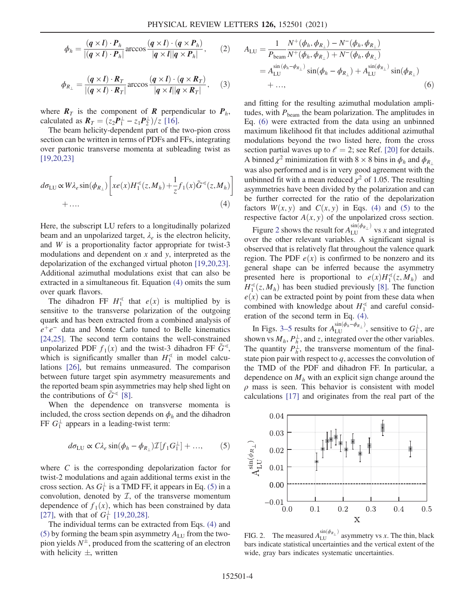$$
\phi_h = \frac{(q \times l) \cdot P_h}{|(q \times l) \cdot P_h|} \arccos \frac{(q \times l) \cdot (q \times P_h)}{|q \times l||q \times P_h|}, \qquad (2)
$$

$$
\phi_{R_{\perp}} = \frac{(q \times l) \cdot R_T}{|(q \times l) \cdot R_T|} \arccos \frac{(q \times l) \cdot (q \times R_T)}{|q \times l||q \times R_T|}, \quad (3)
$$

where  $R_T$  is the component of R perpendicular to  $P_h$ , calculated as  $R_T = (z_2 P_1^{\perp} - z_1 P_2^{\perp})/z$  [16].

The beam helicity-dependent part of the two-pion cross section can be written in terms of PDFs and FFs, integrating over partonic transverse momenta at subleading twist as [19,20,23]

$$
d\sigma_{LU} \propto W\lambda_e \sin(\phi_{R_\perp}) \left[ x e(x) H_1^{\ll}(z, M_h) + \frac{1}{z} f_1(x) \tilde{G}^{\ll}(z, M_h) \right] + \dots
$$
\n(4)

Here, the subscript LU refers to a longitudinally polarized beam and an unpolarized target,  $\lambda_e$  is the electron helicity, and W is a proportionality factor appropriate for twist-3 modulations and dependent on  $x$  and  $y$ , interpreted as the depolarization of the exchanged virtual photon [19,20,23]. Additional azimuthal modulations exist that can also be extracted in a simultaneous fit. Equation (4) omits the sum over quark flavors.

The dihadron FF  $H_1^{\leq}$  that  $e(x)$  is multiplied by is sensitive to the transverse polarization of the outgoing quark and has been extracted from a combined analysis of  $e^+e^-$  data and Monte Carlo tuned to Belle kinematics [24,25]. The second term contains the well-constrained unpolarized PDF  $f_1(x)$  and the twist-3 dihadron FF  $\tilde{G}^{\triangleleft}$ , which is significantly smaller than  $H_1^{\sphericalangle}$  in model calculations [26], but remains unmeasured. The comparison between future target spin asymmetry measurements and the reported beam spin asymmetries may help shed light on the contributions of  $\tilde{G}^{\leq}$  [8].

When the dependence on transverse momenta is included, the cross section depends on  $\phi_h$  and the dihadron FF  $G_1^{\perp}$  appears in a leading-twist term:

$$
d\sigma_{\text{LU}} \propto C\lambda_e \sin(\phi_h - \phi_{R_\perp}) \mathcal{I}[f_1 G_1^\perp] + ..., \quad (5)
$$

where  $C$  is the corresponding depolarization factor for twist-2 modulations and again additional terms exist in the cross section. As  $G_1^{\perp}$  is a TMD FF, it appears in Eq. (5) in a convolution, denoted by  $I$ , of the transverse momentum dependence of  $f_1(x)$ , which has been constrained by data [27], with that of  $G_1^{\perp}$  [19,20,28].

The individual terms can be extracted from Eqs. (4) and (5) by forming the beam spin asymmetry  $A_{\text{LU}}$  from the twopion yields  $N^{\pm}$ , produced from the scattering of an electron with helicity  $\pm$ , written

$$
A_{\rm LU} = \frac{1}{P_{\rm beam}} \frac{N^+(\phi_h, \phi_{R_\perp}) - N^-(\phi_h, \phi_{R_\perp})}{N^+(\phi_h, \phi_{R_\perp}) + N^-(\phi_h, \phi_{R_\perp})}
$$
  
=  $A_{\rm LU}^{\sin(\phi_h - \phi_{R_\perp})} \sin(\phi_h - \phi_{R_\perp}) + A_{\rm LU}^{\sin(\phi_{R_\perp})} \sin(\phi_{R_\perp})$   
+ ..., (6)

and fitting for the resulting azimuthal modulation amplitudes, with  $P_{\text{beam}}$  the beam polarization. The amplitudes in Eq. (6) were extracted from the data using an unbinned maximum likelihood fit that includes additional azimuthal modulations beyond the two listed here, from the cross section partial waves up to  $\ell = 2$ ; see Ref. [20] for details. A binned  $\chi^2$  minimization fit with 8 × 8 bins in  $\phi_h$  and  $\phi_{R_{\perp}}$ was also performed and is in very good agreement with the unbinned fit with a mean reduced  $\chi^2$  of 1.05. The resulting asymmetries have been divided by the polarization and can be further corrected for the ratio of the depolarization factors  $W(x, y)$  and  $C(x, y)$  in Eqs. (4) and (5) to the respective factor  $A(x, y)$  of the unpolarized cross section.

Figure 2 shows the result for  $A_{LU}^{\sin(\phi_{R_\perp})}$  vs x and integrated over the other relevant variables. A significant signal is observed that is relatively flat throughout the valence quark region. The PDF  $e(x)$  is confirmed to be nonzero and its general shape can be inferred because the asymmetry presented here is proportional to  $e(x)H_1^{\sphericalangle}(z, M_h)$  and  $H_1^{\sphericalangle}(z, M_h)$  has been studied previously [8]. The function  $e(x)$  can be extracted point by point from these data when combined with knowledge about  $H_1^{\text{ } \triangleleft}$  and careful consideration of the second term in Eq. (4).

In Figs. 3–5 results for  $A_{LU}^{\sin(\phi_h - \phi_{R_\perp})}$ , sensitive to  $G_1^{\perp}$ , are shown vs  $M_h$ ,  $P_h^{\perp}$  $\frac{1}{h}$ , and z, integrated over the other variables. The quantity  $P_{h}^{\perp}$  $\frac{1}{h}$ , the transverse momentum of the finalstate pion pair with respect to  $q$ , accesses the convolution of the TMD of the PDF and dihadron FF. In particular, a dependence on  $M<sub>h</sub>$  with an explicit sign change around the  $\rho$  mass is seen. This behavior is consistent with model calculations [17] and originates from the real part of the



FIG. 2. The measured  $A_{LU}^{\sin(\phi_{R_\perp})}$  asymmetry vs x. The thin, black bars indicate statistical uncertainties and the vertical extent of the wide, gray bars indicates systematic uncertainties.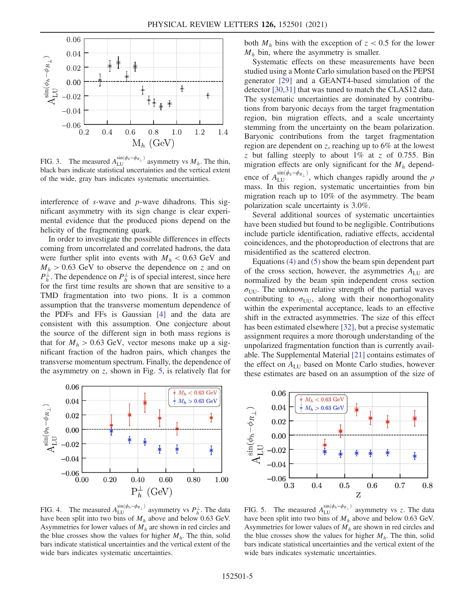

FIG. 3. The measured  $A_{LU}^{\sin(\phi_h-\phi_{R_\perp})}$  asymmetry vs  $M_h$ . The thin, black bars indicate statistical uncertainties and the vertical extent of the wide, gray bars indicates systematic uncertainties.

interference of s-wave and p-wave dihadrons. This significant asymmetry with its sign change is clear experimental evidence that the produced pions depend on the helicity of the fragmenting quark.

In order to investigate the possible differences in effects coming from uncorrelated and correlated hadrons, the data were further split into events with  $M_h < 0.63$  GeV and  $M_h > 0.63$  GeV to observe the dependence on z and on  $P_h^{\perp}$  $\frac{1}{h}$ . The dependence on  $P_h^{\perp}$  $\frac{1}{h}$  is of special interest, since here for the first time results are shown that are sensitive to a TMD fragmentation into two pions. It is a common assumption that the transverse momentum dependence of the PDFs and FFs is Gaussian [4] and the data are consistent with this assumption. One conjecture about the source of the different sign in both mass regions is that for  $M_h > 0.63$  GeV, vector mesons make up a significant fraction of the hadron pairs, which changes the transverse momentum spectrum. Finally, the dependence of the asymmetry on  $z$ , shown in Fig. 5, is relatively flat for



FIG. 4. The measured  $A_{\text{LU}}^{\sin(\phi_h-\phi_{R_\perp})}$  asymmetry vs  $P_h^{\perp}$ . The data have been split into two bins of  $M_h$  above and below 0.63 GeV. Asymmetries for lower values of  $M_h$  are shown in red circles and the blue crosses show the values for higher  $M<sub>h</sub>$ . The thin, solid bars indicate statistical uncertainties and the vertical extent of the wide bars indicates systematic uncertainties.

both  $M_h$  bins with the exception of  $z < 0.5$  for the lower  $M_h$  bin, where the asymmetry is smaller.

Systematic effects on these measurements have been studied using a Monte Carlo simulation based on the PEPSI generator [29] and a GEANT4-based simulation of the detector [30,31] that was tuned to match the CLAS12 data. The systematic uncertainties are dominated by contributions from baryonic decays from the target fragmentation region, bin migration effects, and a scale uncertainty stemming from the uncertainty on the beam polarization. Baryonic contributions from the target fragmentation region are dependent on z, reaching up to 6% at the lowest z but falling steeply to about  $1\%$  at z of 0.755. Bin migration effects are only significant for the  $M_h$  dependence of  $A_{\text{LU}}^{\sin(\phi_h-\phi_{R_\perp})}$ , which changes rapidly around the  $\rho$ mass. In this region, systematic uncertainties from bin migration reach up to 10% of the asymmetry. The beam polarization scale uncertainty is 3.0%.

Several additional sources of systematic uncertainties have been studied but found to be negligible. Contributions include particle identification, radiative effects, accidental coincidences, and the photoproduction of electrons that are misidentified as the scattered electron.

Equations (4) and (5) show the beam spin dependent part of the cross section, however, the asymmetries  $A_{LU}$  are normalized by the beam spin independent cross section  $\sigma_{UU}$ . The unknown relative strength of the partial waves contributing to  $\sigma_{\text{UU}}$ , along with their nonorthogonality within the experimental acceptance, leads to an effective shift in the extracted asymmetries. The size of this effect has been estimated elsewhere [32], but a precise systematic assignment requires a more thorough understanding of the unpolarized fragmentation function than is currently available. The Supplemental Material [21] contains estimates of the effect on  $A_{LU}$  based on Monte Carlo studies, however these estimates are based on an assumption of the size of



FIG. 5. The measured  $A_{\text{LU}}^{\sin(\phi_h-\phi_{R_\perp})}$  asymmetry vs z. The data have been split into two bins of  $M_h$  above and below 0.63 GeV. Asymmetries for lower values of  $M<sub>h</sub>$  are shown in red circles and the blue crosses show the values for higher  $M<sub>h</sub>$ . The thin, solid bars indicate statistical uncertainties and the vertical extent of the wide bars indicates systematic uncertainties.